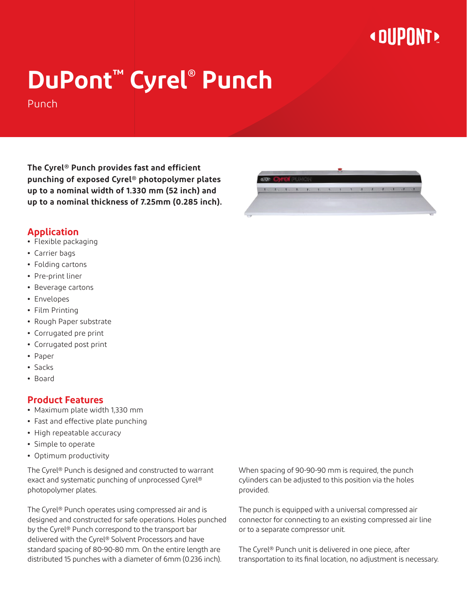## **« OUPONT »**

# **DuPont™ Cyrel® Punch**

Punch

**The Cyrel® Punch provides fast and efficient punching of exposed Cyrel® photopolymer plates up to a nominal width of 1.330 mm (52 inch) and up to a nominal thickness of 7.25mm (0.285 inch).**



#### **Application**

- **•** Flexible packaging
- **•** Carrier bags
- **•** Folding cartons
- **•** Pre-print liner
- **•** Beverage cartons
- **•** Envelopes
- **•** Film Printing
- **•** Rough Paper substrate
- **•** Corrugated pre print
- **•** Corrugated post print
- **•** Paper
- **•** Sacks
- **•** Board

#### **Product Features**

- **•** Maximum plate width 1,330 mm
- **•** Fast and effective plate punching
- **•** High repeatable accuracy
- **•** Simple to operate
- **•** Optimum productivity

The Cyrel® Punch is designed and constructed to warrant exact and systematic punching of unprocessed Cyrel® photopolymer plates.

The Cyrel® Punch operates using compressed air and is designed and constructed for safe operations. Holes punched by the Cyrel® Punch correspond to the transport bar delivered with the Cyrel® Solvent Processors and have standard spacing of 80-90-80 mm. On the entire length are distributed 15 punches with a diameter of 6mm (0.236 inch).

When spacing of 90-90-90 mm is required, the punch cylinders can be adjusted to this position via the holes provided.

The punch is equipped with a universal compressed air connector for connecting to an existing compressed air line or to a separate compressor unit.

The Cyrel® Punch unit is delivered in one piece, after transportation to its final location, no adjustment is necessary.